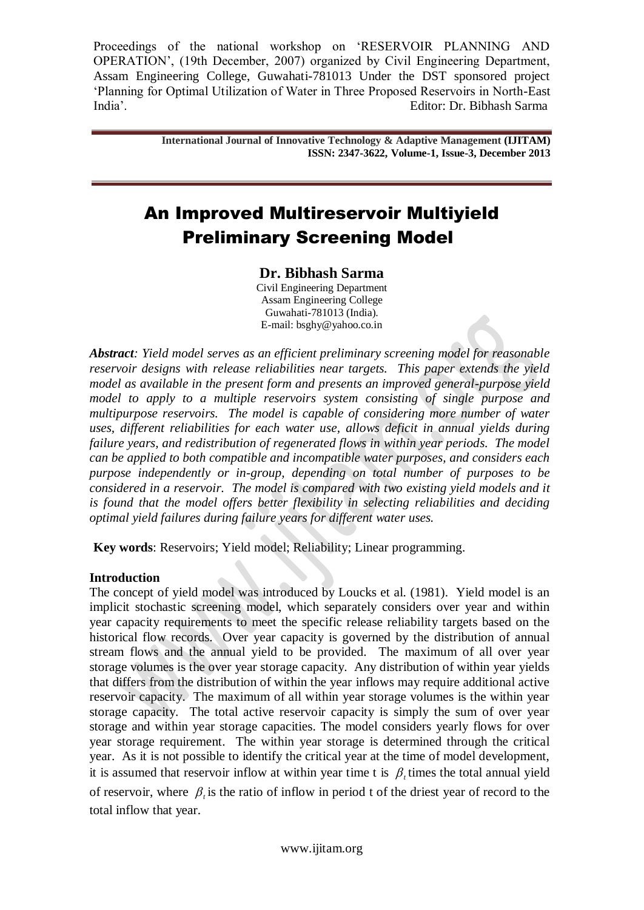> **International Journal of Innovative Technology & Adaptive Management (IJITAM) ISSN: 2347-3622, Volume-1, Issue-3, December 2013**

# An Improved Multireservoir Multiyield Preliminary Screening Model

# **Dr. Bibhash Sarma**

Civil Engineering Department Assam Engineering College Guwahati-781013 (India). E-mail: [bsghy@yahoo.co.in](mailto:bsarma2002@yahoo.co.in)

*Abstract: Yield model serves as an efficient preliminary screening model for reasonable reservoir designs with release reliabilities near targets. This paper extends the yield model as available in the present form and presents an improved general-purpose yield model to apply to a multiple reservoirs system consisting of single purpose and multipurpose reservoirs. The model is capable of considering more number of water uses, different reliabilities for each water use, allows deficit in annual yields during failure years, and redistribution of regenerated flows in within year periods. The model can be applied to both compatible and incompatible water purposes, and considers each purpose independently or in-group, depending on total number of purposes to be considered in a reservoir. The model is compared with two existing yield models and it is found that the model offers better flexibility in selecting reliabilities and deciding optimal yield failures during failure years for different water uses.* 

**Key words**: Reservoirs; Yield model; Reliability; Linear programming.

## **Introduction**

The concept of yield model was introduced by Loucks et al. (1981). Yield model is an implicit stochastic screening model, which separately considers over year and within year capacity requirements to meet the specific release reliability targets based on the historical flow records. Over year capacity is governed by the distribution of annual stream flows and the annual yield to be provided. The maximum of all over year storage volumes is the over year storage capacity. Any distribution of within year yields that differs from the distribution of within the year inflows may require additional active reservoir capacity. The maximum of all within year storage volumes is the within year storage capacity. The total active reservoir capacity is simply the sum of over year storage and within year storage capacities. The model considers yearly flows for over year storage requirement. The within year storage is determined through the critical year. As it is not possible to identify the critical year at the time of model development, it is assumed that reservoir inflow at within year time t is  $\beta_t$  times the total annual yield of reservoir, where  $\beta$ <sub>i</sub> is the ratio of inflow in period t of the driest year of record to the total inflow that year.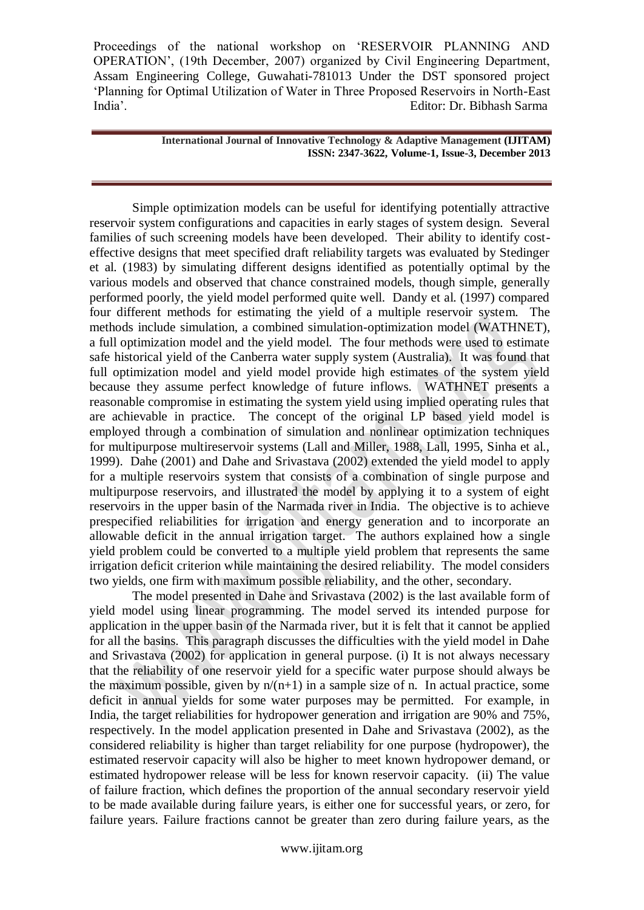> **International Journal of Innovative Technology & Adaptive Management (IJITAM) ISSN: 2347-3622, Volume-1, Issue-3, December 2013**

Simple optimization models can be useful for identifying potentially attractive reservoir system configurations and capacities in early stages of system design. Several families of such screening models have been developed. Their ability to identify costeffective designs that meet specified draft reliability targets was evaluated by Stedinger et al. (1983) by simulating different designs identified as potentially optimal by the various models and observed that chance constrained models, though simple, generally performed poorly, the yield model performed quite well. Dandy et al. (1997) compared four different methods for estimating the yield of a multiple reservoir system. The methods include simulation, a combined simulation-optimization model (WATHNET), a full optimization model and the yield model. The four methods were used to estimate safe historical yield of the Canberra water supply system (Australia). It was found that full optimization model and yield model provide high estimates of the system yield because they assume perfect knowledge of future inflows. WATHNET presents a reasonable compromise in estimating the system yield using implied operating rules that are achievable in practice. The concept of the original LP based yield model is employed through a combination of simulation and nonlinear optimization techniques for multipurpose multireservoir systems (Lall and Miller, 1988, Lall, 1995, Sinha et al., 1999). Dahe (2001) and Dahe and Srivastava (2002) extended the yield model to apply for a multiple reservoirs system that consists of a combination of single purpose and multipurpose reservoirs, and illustrated the model by applying it to a system of eight reservoirs in the upper basin of the Narmada river in India. The objective is to achieve prespecified reliabilities for irrigation and energy generation and to incorporate an allowable deficit in the annual irrigation target. The authors explained how a single yield problem could be converted to a multiple yield problem that represents the same irrigation deficit criterion while maintaining the desired reliability. The model considers two yields, one firm with maximum possible reliability, and the other, secondary.

The model presented in Dahe and Srivastava (2002) is the last available form of yield model using linear programming. The model served its intended purpose for application in the upper basin of the Narmada river, but it is felt that it cannot be applied for all the basins. This paragraph discusses the difficulties with the yield model in Dahe and Srivastava (2002) for application in general purpose. (i) It is not always necessary that the reliability of one reservoir yield for a specific water purpose should always be the maximum possible, given by  $n/(n+1)$  in a sample size of n. In actual practice, some deficit in annual yields for some water purposes may be permitted. For example, in India, the target reliabilities for hydropower generation and irrigation are 90% and 75%, respectively. In the model application presented in Dahe and Srivastava (2002), as the considered reliability is higher than target reliability for one purpose (hydropower), the estimated reservoir capacity will also be higher to meet known hydropower demand, or estimated hydropower release will be less for known reservoir capacity. (ii) The value of failure fraction, which defines the proportion of the annual secondary reservoir yield to be made available during failure years, is either one for successful years, or zero, for failure years. Failure fractions cannot be greater than zero during failure years, as the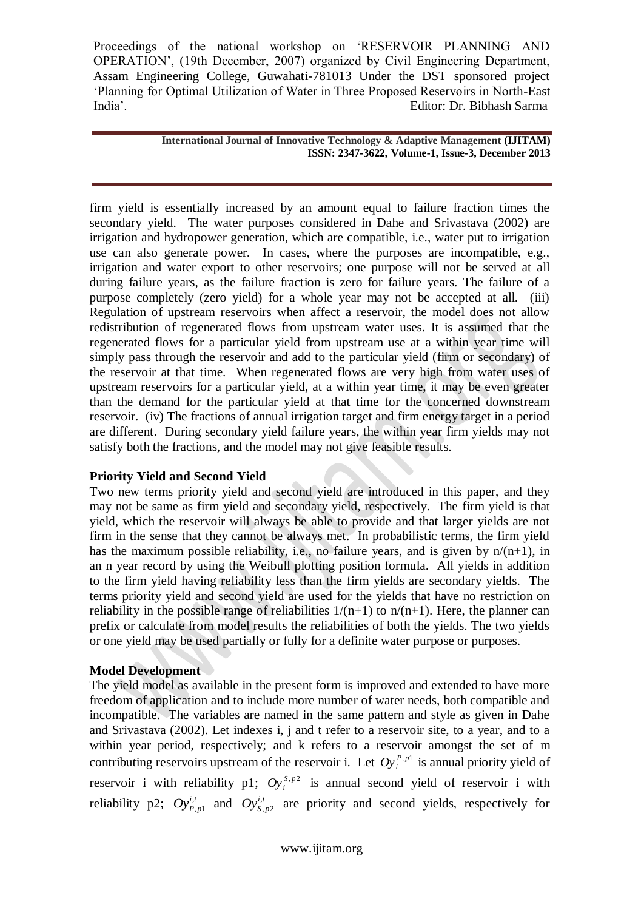#### **International Journal of Innovative Technology & Adaptive Management (IJITAM) ISSN: 2347-3622, Volume-1, Issue-3, December 2013**

firm yield is essentially increased by an amount equal to failure fraction times the secondary yield. The water purposes considered in Dahe and Srivastava (2002) are irrigation and hydropower generation, which are compatible, i.e., water put to irrigation use can also generate power. In cases, where the purposes are incompatible, e.g., irrigation and water export to other reservoirs; one purpose will not be served at all during failure years, as the failure fraction is zero for failure years. The failure of a purpose completely (zero yield) for a whole year may not be accepted at all. (iii) Regulation of upstream reservoirs when affect a reservoir, the model does not allow redistribution of regenerated flows from upstream water uses. It is assumed that the regenerated flows for a particular yield from upstream use at a within year time will simply pass through the reservoir and add to the particular yield (firm or secondary) of the reservoir at that time. When regenerated flows are very high from water uses of upstream reservoirs for a particular yield, at a within year time, it may be even greater than the demand for the particular yield at that time for the concerned downstream reservoir. (iv) The fractions of annual irrigation target and firm energy target in a period are different. During secondary yield failure years, the within year firm yields may not satisfy both the fractions, and the model may not give feasible results.

# **Priority Yield and Second Yield**

Two new terms priority yield and second yield are introduced in this paper, and they may not be same as firm yield and secondary yield, respectively. The firm yield is that yield, which the reservoir will always be able to provide and that larger yields are not firm in the sense that they cannot be always met. In probabilistic terms, the firm yield has the maximum possible reliability, i.e., no failure years, and is given by  $n/(n+1)$ , in an n year record by using the Weibull plotting position formula. All yields in addition to the firm yield having reliability less than the firm yields are secondary yields. The terms priority yield and second yield are used for the yields that have no restriction on reliability in the possible range of reliabilities  $1/(n+1)$  to  $n/(n+1)$ . Here, the planner can prefix or calculate from model results the reliabilities of both the yields. The two yields or one yield may be used partially or fully for a definite water purpose or purposes.

# **Model Development**

The yield model as available in the present form is improved and extended to have more freedom of application and to include more number of water needs, both compatible and incompatible. The variables are named in the same pattern and style as given in Dahe and Srivastava (2002). Let indexes i, j and t refer to a reservoir site, to a year, and to a within year period, respectively; and k refers to a reservoir amongst the set of m contributing reservoirs upstream of the reservoir i. Let  $Oy_i^{P,p1}$  is annual priority yield of reservoir i with reliability p1;  $Oy_i^{S,p^2}$  is annual second yield of reservoir i with reliability p2;  $Oy_{P,p}^{i,t}$  $\sum_{p=1}^{t}$  and  $Oy_{S,p}^{i,t}$  $_{p2}^{t}$  are priority and second yields, respectively for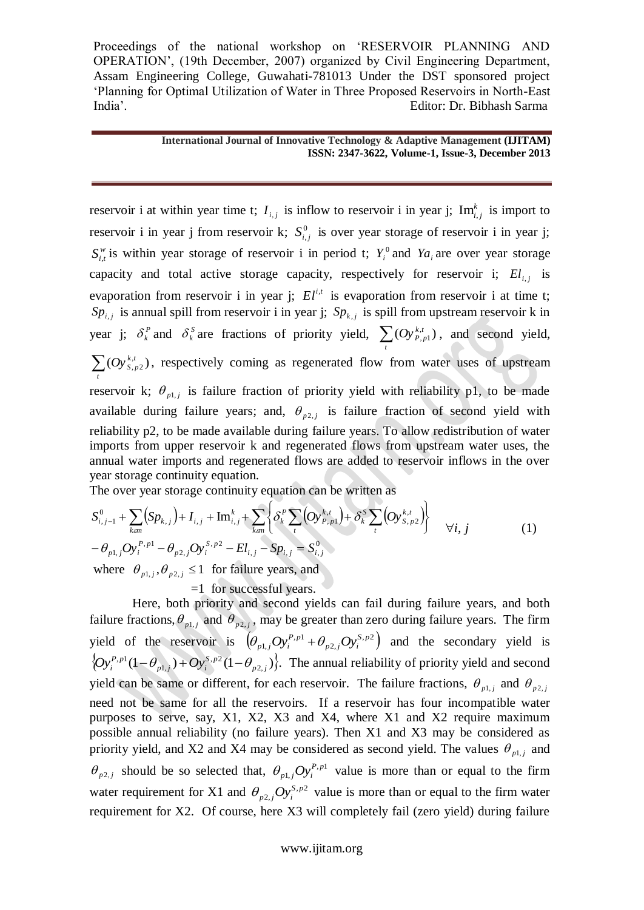#### **International Journal of Innovative Technology & Adaptive Management (IJITAM) ISSN: 2347-3622, Volume-1, Issue-3, December 2013**

reservoir i at within year time t;  $I_{i,j}$  is inflow to reservoir i in year j;  $Im_i^k$  $\text{Im}_{i,j}^k$  is import to reservoir i in year j from reservoir k;  $S^0_{i,j}$  is over year storage of reservoir i in year j;  $S_{i,t}^{\nu}$  is within year storage of reservoir i in period t;  $Y_i^0$  and  $Ya_i$  are over year storage capacity and total active storage capacity, respectively for reservoir i;  $El_{i,j}$  is evaporation from reservoir i in year j;  $El^{i,t}$  is evaporation from reservoir i at time t;  $Sp_{i,j}$  is annual spill from reservoir i in year j;  $Sp_{k,j}$  is spill from upstream reservoir k in year j;  $\delta_k^P$  and  $\delta_k^S$  are fractions of priority yield,  $\sum_t (Oy_{P,p1}^{k,t})$  $Oy_{P,p1}^{k,t}$ , and second yield,  $\sum_{t} (Oy_{S,p2}^{k,t})$  $Oy_{S,p2}^{k,t}$ ), respectively coming as regenerated flow from water uses of upstream reservoir k;  $\theta_{p1,j}$  is failure fraction of priority yield with reliability p1, to be made available during failure years; and,  $\theta_{p2,j}$  is failure fraction of second yield with reliability p2, to be made available during failure years. To allow redistribution of water imports from upper reservoir k and regenerated flows from upstream water uses, the annual water imports and regenerated flows are added to reservoir inflows in the over year storage continuity equation.

The over year storage continuity equation can be written as

$$
S_{i,j-1}^{0} + \sum_{k \neq m} (Sp_{k,j}) + I_{i,j} + Im_{i,j}^{k} + \sum_{k \neq m} \left\{ \delta_{k}^{P} \sum_{t} (Oy_{P,p1}^{k,t}) + \delta_{k}^{S} \sum_{t} (Oy_{S,p2}^{k,t}) \right\} \quad \forall i, j \tag{1}
$$
  
-  $\theta_{p1,j} Oy_{i}^{P,p1} - \theta_{p2,j} Oy_{i}^{S,p2} - El_{i,j} - Sp_{i,j} = S_{i,j}^{0}$ 

where  $\theta_{p1,j}, \theta_{p2,j} \leq 1$  for failure years, and

=1 for successful years.

Here, both priority and second yields can fail during failure years, and both failure fractions,  $\theta_{p1,j}$  and  $\theta_{p2,j}$ , may be greater than zero during failure years. The firm yield of the reservoir is  $(\theta_{n}^{\prime}, Oy_i^{P,p_1} + \theta_{n}^{\prime}, Oy_i^{S,p_2})$ 2,  $, p1$ 1, *S p*  $p_2$ , *j*  $\bigcup_i$  $(\theta_{p1,j}Oy_i^{P,p1} + \theta_{p2,j}Oy_i^{S,p2})$  and the secondary yield is  $\left\{Oy_i^{P,p1}(1-\theta_{p1,j})+Oy_i^{S,p2}(1-\theta_{p2,j})\right\}.$ 1,  $, p1$ *p j S p*  $\left[Oy_i^{P,p1}(1-\theta_{p1,j})+Oy_i^{S,p2}(1-\theta_{p2,j})\right\}$ . The annual reliability of priority yield and second yield can be same or different, for each reservoir. The failure fractions,  $\theta_{p1,j}$  and  $\theta_{p2,j}$ need not be same for all the reservoirs. If a reservoir has four incompatible water purposes to serve, say, X1, X2, X3 and X4, where X1 and X2 require maximum possible annual reliability (no failure years). Then X1 and X3 may be considered as priority yield, and X2 and X4 may be considered as second yield. The values  $\theta_{p1,j}$  and  $\theta_{p2,j}$  should be so selected that,  $\theta_{p1,j}Oy_i^{P,p1}$ 1,  $\theta_{p_1}$  *p*<sup>*p*</sup>, *p*<sup>*n*</sup> value is more than or equal to the firm water requirement for X1 and  $\theta_{n^2}$ ,  $Oy_i^{S,p2}$ 2,  $\theta_{p2,j}Oy_i^{S,p2}$  value is more than or equal to the firm water requirement for X2. Of course, here X3 will completely fail (zero yield) during failure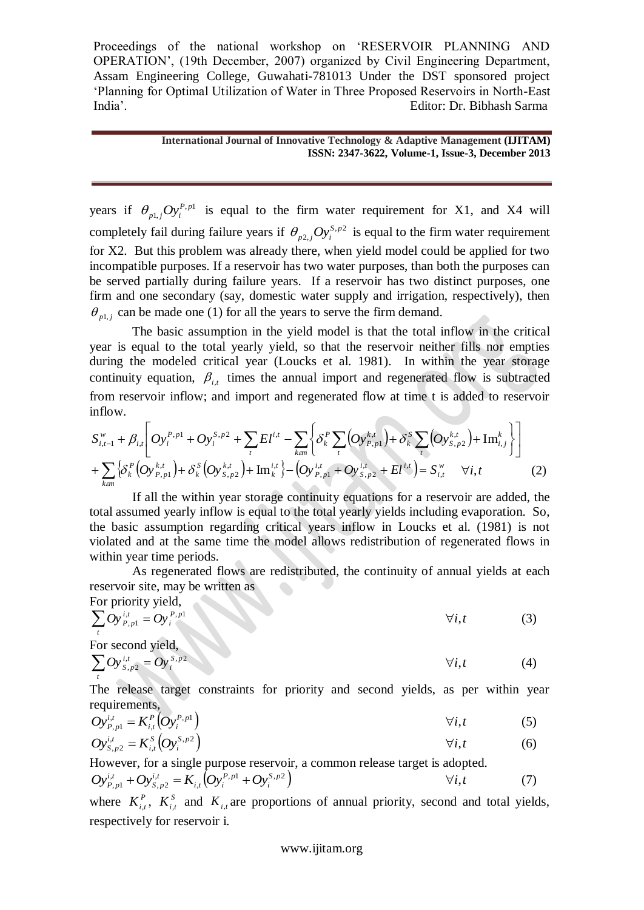#### **International Journal of Innovative Technology & Adaptive Management (IJITAM) ISSN: 2347-3622, Volume-1, Issue-3, December 2013**

years if  $\theta_{n}$ ,  $Oy_i^{P,p1}$ 1,  $\theta_{p_1,j}Oy_i^{P,p_1}$  is equal to the firm water requirement for X1, and X4 will completely fail during failure years if  $\theta_{n^2}$ ,  $Oy_i^{S,p^2}$ 2,  $\theta_{p2,j}Oy_i^{s,p2}$  is equal to the firm water requirement for X2. But this problem was already there, when yield model could be applied for two incompatible purposes. If a reservoir has two water purposes, than both the purposes can be served partially during failure years. If a reservoir has two distinct purposes, one firm and one secondary (say, domestic water supply and irrigation, respectively), then  $\theta_{p1,j}$  can be made one (1) for all the years to serve the firm demand.

The basic assumption in the yield model is that the total inflow in the critical year is equal to the total yearly yield, so that the reservoir neither fills nor empties during the modeled critical year (Loucks et al. 1981). In within the year storage continuity equation,  $\beta_{i,t}$  times the annual import and regenerated flow is subtracted inflow.

from reservoir inflow; and import and regenerated flow at time t is added to reservoir inflow.  
\n
$$
S_{i,t-1}^w + \beta_{i,t} \bigg[ Oy_i^{P,p1} + Oy_i^{S,p2} + \sum_t E^{i,t} - \sum_{k=1}^{\infty} \left\{ \delta_k^P \sum_i \left( Oy_{P,p1}^{k,t} \right) + \delta_k^S \sum_i \left( Oy_{S,p2}^{k,t} \right) + \text{Im}_{i,j}^k \right\} \bigg]
$$
\n
$$
+ \sum_{k=1}^{\infty} \left\{ \delta_k^P \left( Oy_{P,p1}^{k,t} \right) + \delta_k^S \left( Oy_{S,p2}^{k,t} \right) + \text{Im}_k^{i,t} \right\} - \left( Oy_{P,p1}^{i,t} + Oy_{S,p2}^{i,t} + El^{i,t} \right) = S_{i,t}^w \quad \forall i, t \tag{2}
$$

If all the within year storage continuity equations for a reservoir are added, the total assumed yearly inflow is equal to the total yearly yields including evaporation. So, the basic assumption regarding critical years inflow in Loucks et al. (1981) is not violated and at the same time the model allows redistribution of regenerated flows in within year time periods.

As regenerated flows are redistributed, the continuity of annual yields at each reservoir site, may be written as

For priority yield,  
\n
$$
\sum_{i} Oy_{P,p1}^{i,t} = Oy_i^{P,p1}
$$
\n
$$
\forall i, t
$$
\n(3)

For second yield,  
\n
$$
\sum_{i} O y_{s,p2}^{i,t} = O y_i^{s,p2}
$$
\n
$$
\forall i, t
$$
\n(4)

The release target constraints for priority and second yields, as per within year requirements,

$$
Oy_{P,p1}^{i,t} = K_{i,t}^P \left( Oy_i^{P,p1} \right) \qquad \qquad \forall i,t \tag{5}
$$

$$
Oy_{S,p2}^{i,t} = K_{i,t}^{S} \left( Oy_i^{S,p2} \right) \qquad \qquad \forall i,t \qquad \qquad (6)
$$

However, for a single purpose reservoir, a common release target is adopted.  $\left( Oy_i^{P,p1} + Oy_i^{S,p2} \right)$ , ,  $, p2$ ,  $, p1$ *S p i P p*  $i, t \left\{ \boldsymbol{\mathcal{U}} \right\} i$ *i t S p <sup>i</sup> <sup>t</sup> Oy<sup>P</sup> <sup>p</sup> Oy K Oy Oy i*,*t* (7)

where  $K_{i,t}^P$ ,  $K_{i,t}^S$  and  $K_{i,t}$  are proportions of annual priority, second and total yields, respectively for reservoir i.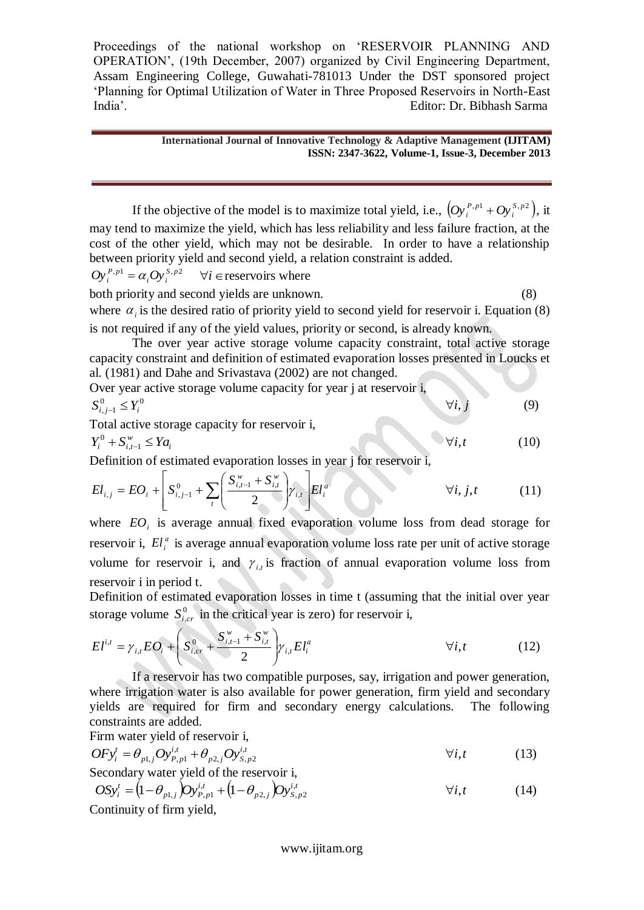#### **International Journal of Innovative Technology & Adaptive Management (IJITAM) ISSN: 2347-3622, Volume-1, Issue-3, December 2013**

If the objective of the model is to maximize total yield, i.e.,  $(Oy_i^{P,p1} + Oy_i^{S,p2})$ ,  $\left[Oy_i^{P,p1} + Oy_i^{S,p2}\right)$ , it may tend to maximize the yield, which has less reliability and less failure fraction, at the cost of the other yield, which may not be desirable. In order to have a relationship between priority yield and second yield, a relation constraint is added.

$$
Oy_i^{P,p_1} = \alpha_i Oy_i^{S,p_2}
$$
  $\forall i \in \text{reservoir's where}$ 

both priority and second yields are unknown. (8) where  $\alpha_i$  is the desired ratio of priority yield to second yield for reservoir i. Equation (8) is not required if any of the yield values, priority or second, is already known.

The over year active storage volume capacity constraint, total active storage capacity constraint and definition of estimated evaporation losses presented in Loucks et al. (1981) and Dahe and Srivastava (2002) are not changed.

Over year active storage volume capacity for year j at reservoir i,  

$$
S_{i,j-1}^{0} \le Y_{i}^{0}
$$
 (9)

Total active storage capacity for reservoir i,

$$
Y_i^0 + S_{i,t-1}^w \leq Y a_i \tag{10}
$$

Definition of estimated evaporation losses in year j for reservoir i,

$$
El_{i,j} = EO_i + \left[ S_{i,j-1}^0 + \sum_{t} \left( \frac{S_{i,t-1}^w + S_{i,t}^w}{2} \right) \gamma_{i,t} \right] El_i^a \qquad \forall i, j, t \qquad (11)
$$

where  $EO_i$  is average annual fixed evaporation volume loss from dead storage for reservoir i,  $El_i^a$  is average annual evaporation volume loss rate per unit of active storage volume for reservoir i, and  $\gamma_{i,t}$  is fraction of annual evaporation volume loss from reservoir i in period t.

Definition of estimated evaporation losses in time t (assuming that the initial over year storage volume  $S^0_{i,cr}$  in the critical year is zero) for reservoir i,

$$
El^{i,t} = \gamma_{i,t} EO_i + \left( S_{i,cr}^0 + \frac{S_{i,t-1}^w + S_{i,t}^w}{2} \right) \gamma_{i,t} El_i^a \qquad \forall i,t \qquad (12)
$$

If a reservoir has two compatible purposes, say, irrigation and power generation, where irrigation water is also available for power generation, firm yield and secondary yields are required for firm and secondary energy calculations. The following constraints are added.

Firm water yield of reservoir i,

$$
OFy_i^t = \theta_{p1,j}Oy_{P,p1}^{i,t} + \theta_{p2,j}Oy_{S,p2}^{i,t}
$$
  
Secondary water yield of the reservoir i, (13)

$$
OSy_i^t = (1 - \theta_{p1,j})Oy_{p,p1}^{i,t} + (1 - \theta_{p2,j})Oy_{s,p2}^{i,t}
$$
  
Continuity of firm yield

Continuity of firm yield,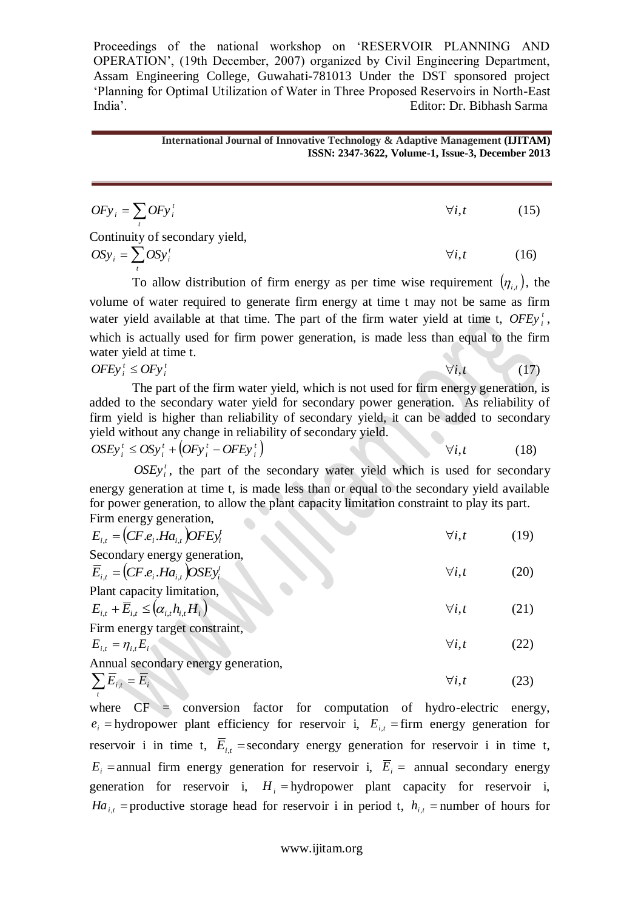#### **International Journal of Innovative Technology & Adaptive Management (IJITAM) ISSN: 2347-3622, Volume-1, Issue-3, December 2013**

| $OFy_i = \sum OFy_i^t$         | $\forall i. t$ | (15) |
|--------------------------------|----------------|------|
| Continuity of secondary yield, |                |      |
| $OSy_i = \sum OSy_i^t$         | $\forall i. t$ | (16) |
|                                |                |      |

To allow distribution of firm energy as per time wise requirement  $(\eta_{i,t})$ , the volume of water required to generate firm energy at time t may not be same as firm water yield available at that time. The part of the firm water yield at time t, *OFEy*<sup>*t*</sup>, which is actually used for firm power generation, is made less than equal to the firm water yield at time t.

*t*

*t*

 $OFEy_i^t \leq OFy_i^t$  (17)

The part of the firm water yield, which is not used for firm energy generation, is added to the secondary water yield for secondary power generation. As reliability of firm yield is higher than reliability of secondary yield, it can be added to secondary yield without any change in reliability of secondary yield.  $\bullet$ 

$$
OSEy_i^t \le OSy_i^t + (OFy_i^t - OFEy_i^t) \qquad \forall i, t \qquad (18)
$$

 $OSEy_i^t$ , the part of the secondary water yield which is used for secondary energy generation at time t, is made less than or equal to the secondary yield available for power generation, to allow the plant capacity limitation constraint to play its part. Firm energy generation,  $\sim$ 

| $E_{i,t} = (CF.e_i.Ha_{i,t})OFFy_i^t$                                                    | $\forall i, t$ | (19) |
|------------------------------------------------------------------------------------------|----------------|------|
| Secondary energy generation,<br>$\overline{E}_{i,t} = (CF.e_i.Ha_{i,t})OSEy_i^t$         | $\forall i, t$ | (20) |
| Plant capacity limitation,<br>$E_{i} + \overline{E}_{i} \leq (\alpha_{i}, h_{i}, H_{i})$ | $\forall i, t$ | (21) |
| Firm energy target constraint,<br>$E_{i}$ , $= \eta_{i} E_{i}$                           | $\forall i, t$ | (22) |
| Annual secondary energy generation,<br>$\sum \overline{E}_{i,t} = \overline{E}_{i}$      | $\forall i, t$ | (23) |

where  $CF =$  conversion factor for computation of hydro-electric energy,  $e_i$  = hydropower plant efficiency for reservoir i,  $E_{i,t}$  = firm energy generation for reservoir i in time t,  $\overline{E}_{i,t}$  =secondary energy generation for reservoir i in time t,  $E_i$  = annual firm energy generation for reservoir i,  $\overline{E}_i$  = annual secondary energy generation for reservoir i,  $H_i$  = hydropower plant capacity for reservoir i, *Ha*<sub>*i*,*t*</sub> = productive storage head for reservoir i in period t,  $h_{i,t}$  = number of hours for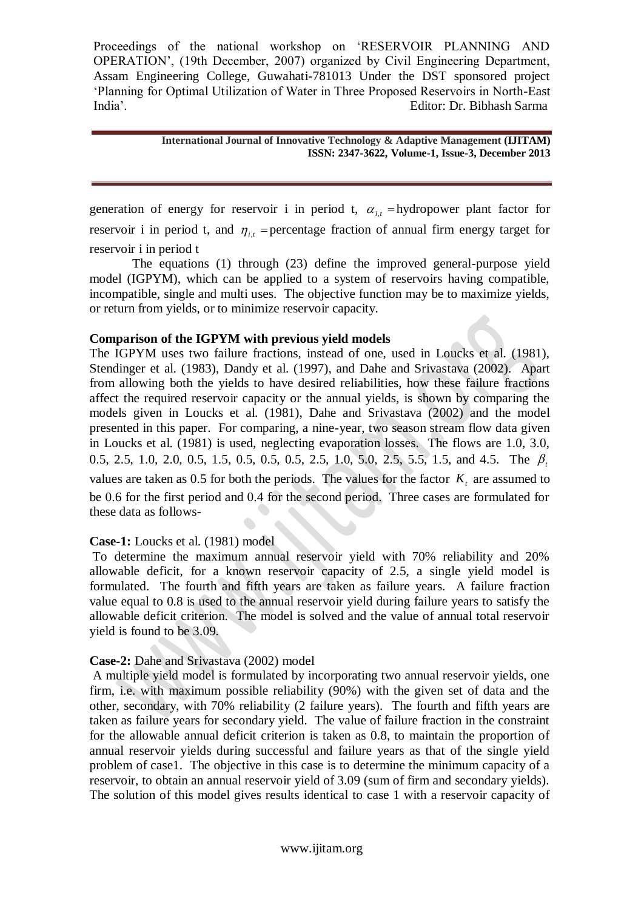#### **International Journal of Innovative Technology & Adaptive Management (IJITAM) ISSN: 2347-3622, Volume-1, Issue-3, December 2013**

generation of energy for reservoir i in period t,  $\alpha_{i,t}$  = hydropower plant factor for reservoir i in period t, and  $\eta_{i,t}$  = percentage fraction of annual firm energy target for reservoir i in period t

The equations (1) through (23) define the improved general-purpose yield model (IGPYM), which can be applied to a system of reservoirs having compatible, incompatible, single and multi uses. The objective function may be to maximize yields, or return from yields, or to minimize reservoir capacity.

# **Comparison of the IGPYM with previous yield models**

The IGPYM uses two failure fractions, instead of one, used in Loucks et al. (1981), Stendinger et al. (1983), Dandy et al. (1997), and Dahe and Srivastava (2002). Apart from allowing both the yields to have desired reliabilities, how these failure fractions affect the required reservoir capacity or the annual yields, is shown by comparing the models given in Loucks et al. (1981), Dahe and Srivastava (2002) and the model presented in this paper. For comparing, a nine-year, two season stream flow data given in Loucks et al. (1981) is used, neglecting evaporation losses. The flows are 1.0, 3.0, 0.5, 2.5, 1.0, 2.0, 0.5, 1.5, 0.5, 0.5, 0.5, 2.5, 1.0, 5.0, 2.5, 5.5, 1.5, and 4.5. The  $\beta$ , values are taken as 0.5 for both the periods. The values for the factor  $K<sub>t</sub>$  are assumed to be 0.6 for the first period and 0.4 for the second period. Three cases are formulated for these data as follows-

## **Case-1:** Loucks et al. (1981) model

To determine the maximum annual reservoir yield with 70% reliability and 20% allowable deficit, for a known reservoir capacity of 2.5, a single yield model is formulated. The fourth and fifth years are taken as failure years. A failure fraction value equal to 0.8 is used to the annual reservoir yield during failure years to satisfy the allowable deficit criterion. The model is solved and the value of annual total reservoir yield is found to be 3.09.

## **Case-2:** Dahe and Srivastava (2002) model

A multiple yield model is formulated by incorporating two annual reservoir yields, one firm, i.e. with maximum possible reliability (90%) with the given set of data and the other, secondary, with 70% reliability (2 failure years). The fourth and fifth years are taken as failure years for secondary yield. The value of failure fraction in the constraint for the allowable annual deficit criterion is taken as 0.8, to maintain the proportion of annual reservoir yields during successful and failure years as that of the single yield problem of case1. The objective in this case is to determine the minimum capacity of a reservoir, to obtain an annual reservoir yield of 3.09 (sum of firm and secondary yields). The solution of this model gives results identical to case 1 with a reservoir capacity of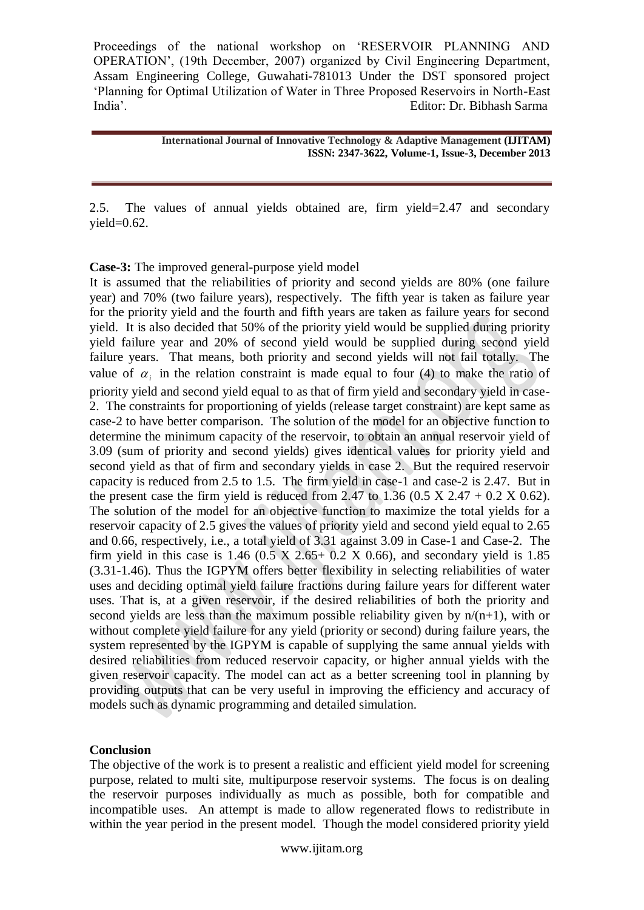> **International Journal of Innovative Technology & Adaptive Management (IJITAM) ISSN: 2347-3622, Volume-1, Issue-3, December 2013**

2.5. The values of annual yields obtained are, firm yield=2.47 and secondary  $yield=0.62$ .

**Case-3:** The improved general-purpose yield model

It is assumed that the reliabilities of priority and second yields are 80% (one failure year) and 70% (two failure years), respectively. The fifth year is taken as failure year for the priority yield and the fourth and fifth years are taken as failure years for second yield. It is also decided that 50% of the priority yield would be supplied during priority yield failure year and 20% of second yield would be supplied during second yield failure years. That means, both priority and second yields will not fail totally. The value of  $\alpha_i$  in the relation constraint is made equal to four (4) to make the ratio of priority yield and second yield equal to as that of firm yield and secondary yield in case-2. The constraints for proportioning of yields (release target constraint) are kept same as case-2 to have better comparison. The solution of the model for an objective function to determine the minimum capacity of the reservoir, to obtain an annual reservoir yield of 3.09 (sum of priority and second yields) gives identical values for priority yield and second yield as that of firm and secondary yields in case 2. But the required reservoir capacity is reduced from 2.5 to 1.5. The firm yield in case-1 and case-2 is 2.47. But in the present case the firm yield is reduced from 2.47 to 1.36 (0.5 X 2.47 + 0.2 X 0.62). The solution of the model for an objective function to maximize the total yields for a reservoir capacity of 2.5 gives the values of priority yield and second yield equal to 2.65 and 0.66, respectively, i.e., a total yield of 3.31 against 3.09 in Case-1 and Case-2. The firm yield in this case is  $1.46$  (0.5 X  $2.65+0.2$  X 0.66), and secondary yield is 1.85 (3.31-1.46). Thus the IGPYM offers better flexibility in selecting reliabilities of water uses and deciding optimal yield failure fractions during failure years for different water uses. That is, at a given reservoir, if the desired reliabilities of both the priority and second yields are less than the maximum possible reliability given by  $n/(n+1)$ , with or without complete yield failure for any yield (priority or second) during failure years, the system represented by the IGPYM is capable of supplying the same annual yields with desired reliabilities from reduced reservoir capacity, or higher annual yields with the given reservoir capacity. The model can act as a better screening tool in planning by providing outputs that can be very useful in improving the efficiency and accuracy of models such as dynamic programming and detailed simulation.

# **Conclusion**

The objective of the work is to present a realistic and efficient yield model for screening purpose, related to multi site, multipurpose reservoir systems. The focus is on dealing the reservoir purposes individually as much as possible, both for compatible and incompatible uses. An attempt is made to allow regenerated flows to redistribute in within the year period in the present model. Though the model considered priority yield